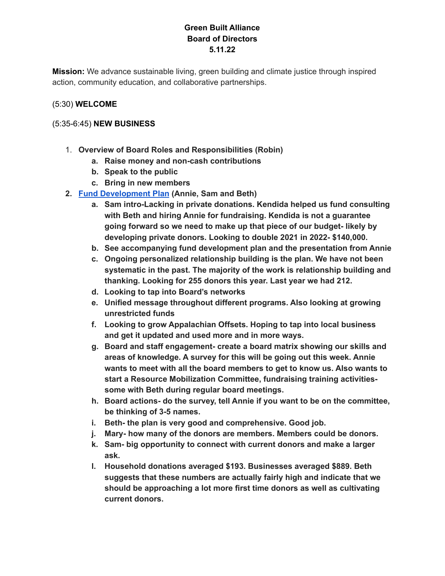# **Green Built Alliance Board of Directors 5.11.22**

**Mission:** We advance sustainable living, green building and climate justice through inspired action, community education, and collaborative partnerships.

### (5:30) **WELCOME**

### (5:35-6:45) **NEW BUSINESS**

- 1. **Overview of Board Roles and Responsibilities (Robin)**
	- **a. Raise money and non-cash contributions**
	- **b. Speak to the public**
	- **c. Bring in new members**
- **2. Fund [Development](https://docs.google.com/document/d/1s3g0PngzQ9TMiYr_SA2lgM8zM0ofm1jgioxGVvfedcI/edit?usp=sharing) Plan (Annie, Sam and Beth)**
	- **a. Sam intro-Lacking in private donations. Kendida helped us fund consulting with Beth and hiring Annie for fundraising. Kendida is not a guarantee going forward so we need to make up that piece of our budget- likely by developing private donors. Looking to double 2021 in 2022- \$140,000.**
	- **b. See accompanying fund development plan and the presentation from Annie**
	- **c. Ongoing personalized relationship building is the plan. We have not been systematic in the past. The majority of the work is relationship building and thanking. Looking for 255 donors this year. Last year we had 212.**
	- **d. Looking to tap into Board's networks**
	- **e. Unified message throughout different programs. Also looking at growing unrestricted funds**
	- **f. Looking to grow Appalachian Offsets. Hoping to tap into local business and get it updated and used more and in more ways.**
	- **g. Board and staff engagement- create a board matrix showing our skills and areas of knowledge. A survey for this will be going out this week. Annie wants to meet with all the board members to get to know us. Also wants to start a Resource Mobilization Committee, fundraising training activitiessome with Beth during regular board meetings.**
	- **h. Board actions- do the survey, tell Annie if you want to be on the committee, be thinking of 3-5 names.**
	- **i. Beth- the plan is very good and comprehensive. Good job.**
	- **j. Mary- how many of the donors are members. Members could be donors.**
	- **k. Sam- big opportunity to connect with current donors and make a larger ask.**
	- **l. Household donations averaged \$193. Businesses averaged \$889. Beth suggests that these numbers are actually fairly high and indicate that we should be approaching a lot more first time donors as well as cultivating current donors.**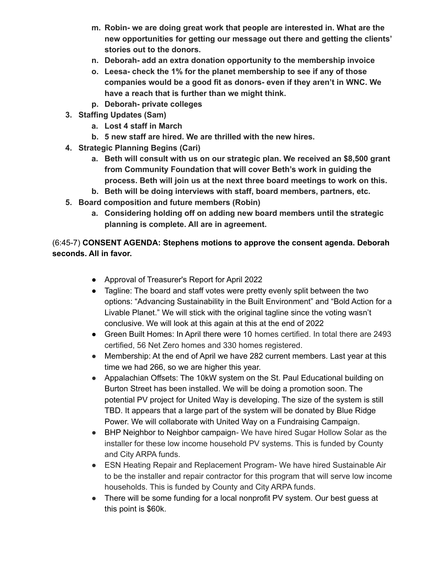- **m. Robin- we are doing great work that people are interested in. What are the new opportunities for getting our message out there and getting the clients' stories out to the donors.**
- **n. Deborah- add an extra donation opportunity to the membership invoice**
- **o. Leesa- check the 1% for the planet membership to see if any of those companies would be a good fit as donors- even if they aren't in WNC. We have a reach that is further than we might think.**
- **p. Deborah- private colleges**
- **3. Staffing Updates (Sam)**
	- **a. Lost 4 staff in March**
	- **b. 5 new staff are hired. We are thrilled with the new hires.**
- **4. Strategic Planning Begins (Cari)**
	- **a. Beth will consult with us on our strategic plan. We received an \$8,500 grant from Community Foundation that will cover Beth's work in guiding the process. Beth will join us at the next three board meetings to work on this.**
	- **b. Beth will be doing interviews with staff, board members, partners, etc.**
- **5. Board composition and future members (Robin)**
	- **a. Considering holding off on adding new board members until the strategic planning is complete. All are in agreement.**

## (6:45-7) **CONSENT AGENDA: Stephens motions to approve the consent agenda. Deborah seconds. All in favor.**

- Approval of Treasurer's Report for April 2022
- Tagline: The board and staff votes were pretty evenly split between the two options: "Advancing Sustainability in the Built Environment" and "Bold Action for a Livable Planet." We will stick with the original tagline since the voting wasn't conclusive. We will look at this again at this at the end of 2022
- Green Built Homes: In April there were 10 homes certified. In total there are 2493 certified, 56 Net Zero homes and 330 homes registered.
- Membership: At the end of April we have 282 current members. Last year at this time we had 266, so we are higher this year.
- Appalachian Offsets: The 10kW system on the St. Paul Educational building on Burton Street has been installed. We will be doing a promotion soon. The potential PV project for United Way is developing. The size of the system is still TBD. It appears that a large part of the system will be donated by Blue Ridge Power. We will collaborate with United Way on a Fundraising Campaign.
- BHP Neighbor to Neighbor campaign- We have hired Sugar Hollow Solar as the installer for these low income household PV systems. This is funded by County and City ARPA funds.
- ESN Heating Repair and Replacement Program- We have hired Sustainable Air to be the installer and repair contractor for this program that will serve low income households. This is funded by County and City ARPA funds.
- There will be some funding for a local nonprofit PV system. Our best guess at this point is \$60k.